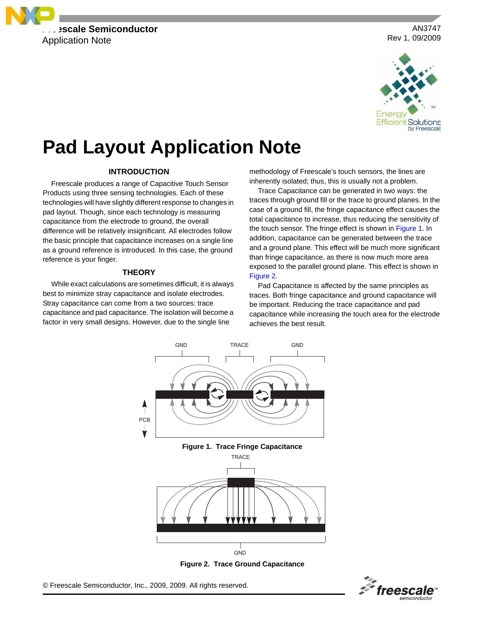

AN3747 Rev 1, 09/2009



# **Pad Layout Application Note**

# **INTRODUCTION**

Freescale produces a range of Capacitive Touch Sensor Products using three sensing technologies. Each of these technologies will have slightly different response to changes in pad layout. Though, since each technology is measuring capacitance from the electrode to ground, the overall difference will be relatively insignificant. All electrodes follow the basic principle that capacitance increases on a single line as a ground reference is introduced. In this case, the ground reference is your finger.

#### **THEORY**

While exact calculations are sometimes difficult, it is always best to minimize stray capacitance and isolate electrodes. Stray capacitance can come from a two sources: trace capacitance and pad capacitance. The isolation will become a factor in very small designs. However, due to the single line

methodology of Freescale's touch sensors, the lines are inherently isolated; thus, this is usually not a problem.

Trace Capacitance can be generated in two ways: the traces through ground fill or the trace to ground planes. In the case of a ground fill, the fringe capacitance effect causes the total capacitance to increase, thus reducing the sensitivity of the touch sensor. The fringe effect is shown in [Figure](#page-0-0) 1. In addition, capacitance can be generated between the trace and a ground plane. This effect will be much more significant than fringe capacitance, as there is now much more area exposed to the parallel ground plane. This effect is shown in [Figure](#page-0-1) 2.

Pad Capacitance is affected by the same principles as traces. Both fringe capacitance and ground capacitance will be important. Reducing the trace capacitance and pad capacitance while increasing the touch area for the electrode achieves the best result.



**Figure 2. Trace Ground Capacitance**

<span id="page-0-1"></span><span id="page-0-0"></span>© Freescale Semiconductor, Inc., 2009, 2009. All rights reserved.

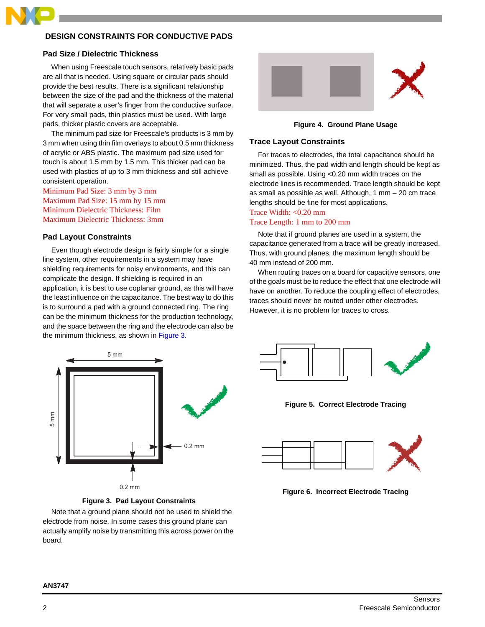

# **DESIGN CONSTRAINTS FOR CONDUCTIVE PADS**

## **Pad Size / Dielectric Thickness**

When using Freescale touch sensors, relatively basic pads are all that is needed. Using square or circular pads should provide the best results. There is a significant relationship between the size of the pad and the thickness of the material that will separate a user's finger from the conductive surface. For very small pads, thin plastics must be used. With large pads, thicker plastic covers are acceptable.

The minimum pad size for Freescale's products is 3 mm by 3 mm when using thin film overlays to about 0.5 mm thickness of acrylic or ABS plastic. The maximum pad size used for touch is about 1.5 mm by 1.5 mm. This thicker pad can be used with plastics of up to 3 mm thickness and still achieve consistent operation.

Minimum Pad Size: 3 mm by 3 mm Maximum Pad Size: 15 mm by 15 mm Minimum Dielectric Thickness: Film Maximum Dielectric Thickness: 3mm

# **Pad Layout Constraints**

Even though electrode design is fairly simple for a single line system, other requirements in a system may have shielding requirements for noisy environments, and this can complicate the design. If shielding is required in an application, it is best to use coplanar ground, as this will have the least influence on the capacitance. The best way to do this is to surround a pad with a ground connected ring. The ring can be the minimum thickness for the production technology, and the space between the ring and the electrode can also be the minimum thickness, as shown in [Figure](#page-1-0) 3.



**Figure 4. Ground Plane Usage**

## **Trace Layout Constraints**

For traces to electrodes, the total capacitance should be minimized. Thus, the pad width and length should be kept as small as possible. Using <0.20 mm width traces on the electrode lines is recommended. Trace length should be kept as small as possible as well. Although, 1 mm – 20 cm trace lengths should be fine for most applications.

# Trace Width: <0.20 mm Trace Length: 1 mm to 200 mm

Note that if ground planes are used in a system, the capacitance generated from a trace will be greatly increased. Thus, with ground planes, the maximum length should be 40 mm instead of 200 mm.

When routing traces on a board for capacitive sensors, one of the goals must be to reduce the effect that one electrode will have on another. To reduce the coupling effect of electrodes, traces should never be routed under other electrodes. However, it is no problem for traces to cross.



**Figure 3. Pad Layout Constraints**

<span id="page-1-0"></span>Note that a ground plane should not be used to shield the electrode from noise. In some cases this ground plane can actually amplify noise by transmitting this across power on the board.



**Figure 5. Correct Electrode Tracing**



**Figure 6. Incorrect Electrode Tracing**

# **AN3747**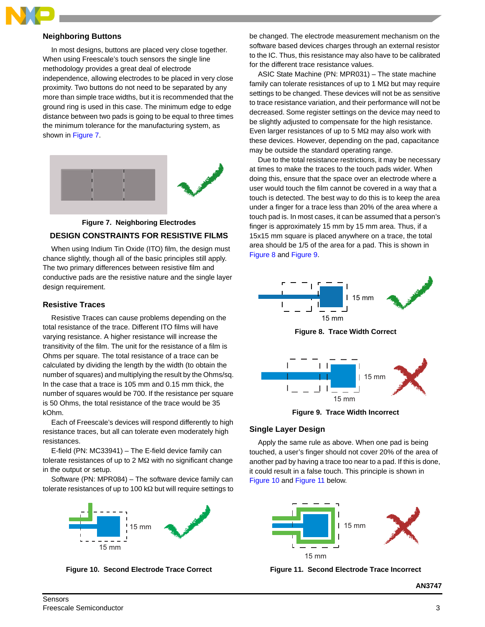# **Neighboring Buttons**

In most designs, buttons are placed very close together. When using Freescale's touch sensors the single line methodology provides a great deal of electrode independence, allowing electrodes to be placed in very close proximity. Two buttons do not need to be separated by any more than simple trace widths, but it is recommended that the ground ring is used in this case. The minimum edge to edge distance between two pads is going to be equal to three times the minimum tolerance for the manufacturing system, as shown in [Figure](#page-2-0) 7.



<span id="page-2-0"></span>

When using Indium Tin Oxide (ITO) film, the design must chance slightly, though all of the basic principles still apply. The two primary differences between resistive film and conductive pads are the resistive nature and the single layer design requirement.

# **Resistive Traces**

Resistive Traces can cause problems depending on the total resistance of the trace. Different ITO films will have varying resistance. A higher resistance will increase the transitivity of the film. The unit for the resistance of a film is Ohms per square. The total resistance of a trace can be calculated by dividing the length by the width (to obtain the number of squares) and multiplying the result by the Ohms/sq. In the case that a trace is 105 mm and 0.15 mm thick, the number of squares would be 700. If the resistance per square is 50 Ohms, the total resistance of the trace would be 35 kOhm.

Each of Freescale's devices will respond differently to high resistance traces, but all can tolerate even moderately high resistances.

E-field (PN: MC33941) – The E-field device family can tolerate resistances of up to 2 MΩ with no significant change in the output or setup.

Software (PN: MPR084) – The software device family can tolerate resistances of up to 100 kΩ but will require settings to



<span id="page-2-3"></span>

be changed. The electrode measurement mechanism on the software based devices charges through an external resistor to the IC. Thus, this resistance may also have to be calibrated for the different trace resistance values.

ASIC State Machine (PN: MPR031) – The state machine family can tolerate resistances of up to 1 M $\Omega$  but may require settings to be changed. These devices will not be as sensitive to trace resistance variation, and their performance will not be decreased. Some register settings on the device may need to be slightly adjusted to compensate for the high resistance. Even larger resistances of up to 5 MΩ may also work with these devices. However, depending on the pad, capacitance may be outside the standard operating range.

Due to the total resistance restrictions, it may be necessary at times to make the traces to the touch pads wider. When doing this, ensure that the space over an electrode where a user would touch the film cannot be covered in a way that a touch is detected. The best way to do this is to keep the area under a finger for a trace less than 20% of the area where a touch pad is. In most cases, it can be assumed that a person's finger is approximately 15 mm by 15 mm area. Thus, if a 15x15 mm square is placed anywhere on a trace, the total area should be 1/5 of the area for a pad. This is shown in [Figure](#page-2-1) 8 and [Figure](#page-2-2) 9.



**Figure 8. Trace Width Correct**

<span id="page-2-1"></span>

**Figure 9. Trace Width Incorrect**

# <span id="page-2-2"></span>**Single Layer Design**

Apply the same rule as above. When one pad is being touched, a user's finger should not cover 20% of the area of another pad by having a trace too near to a pad. If this is done, it could result in a false touch. This principle is shown in [Figure](#page-2-3) 10 and [Figure](#page-2-4) 11 below.



<span id="page-2-4"></span>